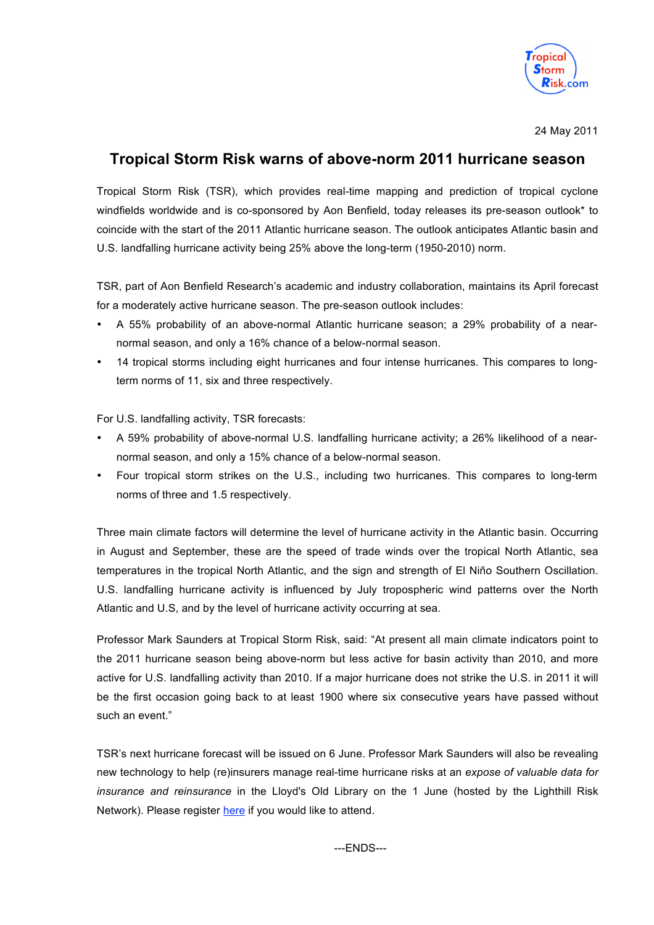

24 May 2011

# **Tropical Storm Risk warns of above-norm 2011 hurricane season**

Tropical Storm Risk (TSR), which provides real-time mapping and prediction of tropical cyclone windfields worldwide and is co-sponsored by Aon Benfield, today releases its pre-season outlook\* to coincide with the start of the 2011 Atlantic hurricane season. The outlook anticipates Atlantic basin and U.S. landfalling hurricane activity being 25% above the long-term (1950-2010) norm.

TSR, part of Aon Benfield Research's academic and industry collaboration, maintains its April forecast for a moderately active hurricane season. The pre-season outlook includes:

- A 55% probability of an above-normal Atlantic hurricane season; a 29% probability of a nearnormal season, and only a 16% chance of a below-normal season.
- 14 tropical storms including eight hurricanes and four intense hurricanes. This compares to longterm norms of 11, six and three respectively.

For U.S. landfalling activity, TSR forecasts:

- A 59% probability of above-normal U.S. landfalling hurricane activity; a 26% likelihood of a nearnormal season, and only a 15% chance of a below-normal season.
- Four tropical storm strikes on the U.S., including two hurricanes. This compares to long-term norms of three and 1.5 respectively.

Three main climate factors will determine the level of hurricane activity in the Atlantic basin. Occurring in August and September, these are the speed of trade winds over the tropical North Atlantic, sea temperatures in the tropical North Atlantic, and the sign and strength of El Niño Southern Oscillation. U.S. landfalling hurricane activity is influenced by July tropospheric wind patterns over the North Atlantic and U.S, and by the level of hurricane activity occurring at sea.

Professor Mark Saunders at Tropical Storm Risk, said: "At present all main climate indicators point to the 2011 hurricane season being above-norm but less active for basin activity than 2010, and more active for U.S. landfalling activity than 2010. If a major hurricane does not strike the U.S. in 2011 it will be the first occasion going back to at least 1900 where six consecutive years have passed without such an event."

TSR's next hurricane forecast will be issued on 6 June. Professor Mark Saunders will also be revealing new technology to help (re)insurers manage real-time hurricane risks at an *expose of valuable data for insurance and reinsurance* in the Lloyd's Old Library on the 1 June (hosted by the Lighthill Risk Network). Please register here if you would like to attend.